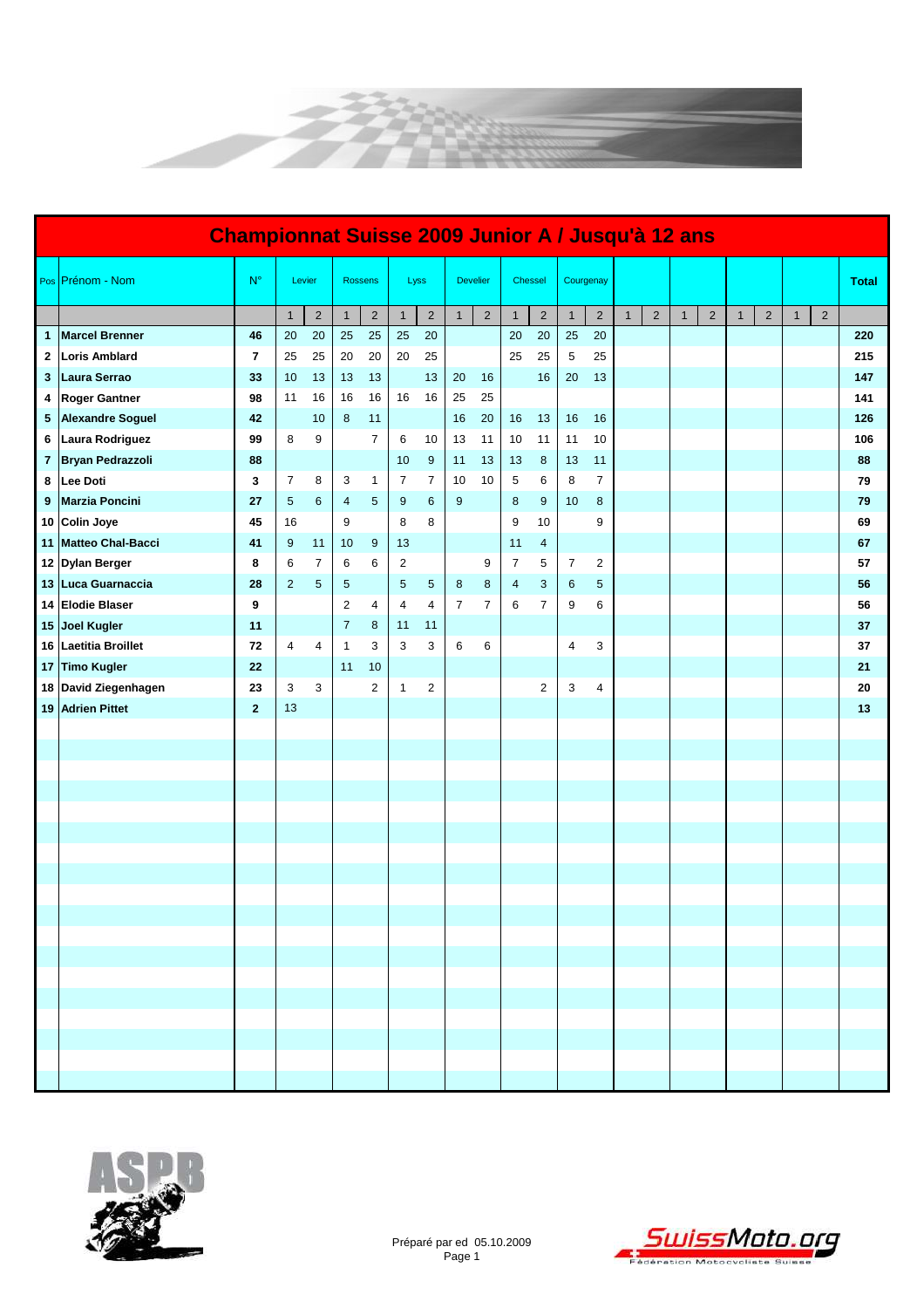

| <b>Championnat Suisse 2009 Junior A / Jusqu'à 12 ans</b> |                          |                |                |                |                |                |                |                |                |                 |                |                |                |                |              |                |              |                |              |                |              |                |              |
|----------------------------------------------------------|--------------------------|----------------|----------------|----------------|----------------|----------------|----------------|----------------|----------------|-----------------|----------------|----------------|----------------|----------------|--------------|----------------|--------------|----------------|--------------|----------------|--------------|----------------|--------------|
|                                                          | Pos Prénom - Nom         | $N^{\circ}$    |                | Levier         |                | <b>Rossens</b> |                | Lyss           |                | <b>Develier</b> |                | Chessel        | Courgenay      |                |              |                |              |                |              |                |              |                | <b>Total</b> |
|                                                          |                          |                | $\mathbf{1}$   | $\overline{c}$ | $\mathbf{1}$   | $\sqrt{2}$     | $\mathbf{1}$   | $\sqrt{2}$     | $\mathbf{1}$   | $\overline{2}$  | $\mathbf{1}$   | $\sqrt{2}$     | $\mathbf{1}$   | $\overline{2}$ | $\mathbf{1}$ | $\overline{2}$ | $\mathbf{1}$ | $\overline{2}$ | $\mathbf{1}$ | $\overline{2}$ | $\mathbf{1}$ | $\overline{2}$ |              |
| $\mathbf{1}$                                             | <b>Marcel Brenner</b>    | 46             | 20             | 20             | 25             | 25             | 25             | 20             |                |                 | 20             | 20             | 25             | 20             |              |                |              |                |              |                |              |                | 220          |
| 2                                                        | <b>Loris Amblard</b>     | $\overline{7}$ | 25             | 25             | 20             | 20             | 20             | 25             |                |                 | 25             | 25             | 5              | 25             |              |                |              |                |              |                |              |                | 215          |
| 3                                                        | Laura Serrao             | 33             | 10             | 13             | 13             | 13             |                | 13             | 20             | 16              |                | 16             | 20             | 13             |              |                |              |                |              |                |              |                | 147          |
| 4                                                        | <b>Roger Gantner</b>     | 98             | 11             | 16             | 16             | 16             | 16             | 16             | 25             | 25              |                |                |                |                |              |                |              |                |              |                |              |                | 141          |
| 5                                                        | <b>Alexandre Soguel</b>  | 42             |                | 10             | 8              | 11             |                |                | 16             | 20              | 16             | 13             | 16             | 16             |              |                |              |                |              |                |              |                | 126          |
| 6                                                        | Laura Rodriguez          | 99             | 8              | 9              |                | $\overline{7}$ | 6              | 10             | 13             | 11              | 10             | 11             | 11             | 10             |              |                |              |                |              |                |              |                | 106          |
| 7                                                        | Bryan Pedrazzoli         | 88             |                |                |                |                | 10             | 9              | 11             | 13              | 13             | 8              | 13             | 11             |              |                |              |                |              |                |              |                | 88           |
| 8                                                        | Lee Doti                 | 3              | $\overline{7}$ | 8              | 3              | $\mathbf{1}$   | $\overline{7}$ | $\overline{7}$ | 10             | 10              | 5              | 6              | 8              | $\overline{7}$ |              |                |              |                |              |                |              |                | 79           |
| 9                                                        | <b>Marzia Poncini</b>    | 27             | $\sqrt{5}$     | 6              | 4              | $\sqrt{5}$     | 9              | 6              | 9              |                 | 8              | 9              | 10             | 8              |              |                |              |                |              |                |              |                | 79           |
| 10                                                       | <b>Colin Joye</b>        | 45             | 16             |                | 9              |                | 8              | 8              |                |                 | 9              | 10             |                | 9              |              |                |              |                |              |                |              |                | 69           |
| 11 <sub>1</sub>                                          | <b>Matteo Chal-Bacci</b> | 41             | 9              | 11             | 10             | 9              | 13             |                |                |                 | 11             | 4              |                |                |              |                |              |                |              |                |              |                | 67           |
|                                                          | 12 Dylan Berger          | 8              | 6              | 7              | 6              | 6              | $\sqrt{2}$     |                |                | 9               | $\overline{7}$ | 5              | $\overline{7}$ | $\overline{2}$ |              |                |              |                |              |                |              |                | 57           |
|                                                          | 13 Luca Guarnaccia       | 28             | $\overline{2}$ | 5              | 5              |                | $\sqrt{5}$     | $\sqrt{5}$     | $\bf 8$        | 8               | $\overline{4}$ | 3              | $\,6$          | 5              |              |                |              |                |              |                |              |                | 56           |
| 14                                                       | <b>Elodie Blaser</b>     | 9              |                |                | $\overline{c}$ | 4              | $\overline{4}$ | 4              | $\overline{7}$ | $\overline{7}$  | 6              | $\overline{7}$ | 9              | 6              |              |                |              |                |              |                |              |                | 56           |
|                                                          | 15 Joel Kugler           | 11             |                |                | $\overline{7}$ | 8              | 11             | 11             |                |                 |                |                |                |                |              |                |              |                |              |                |              |                | 37           |
| 16                                                       | <b>Laetitia Broillet</b> | 72             | 4              | 4              | $\mathbf{1}$   | 3              | 3              | 3              | 6              | 6               |                |                | 4              | 3              |              |                |              |                |              |                |              |                | 37           |
| 17                                                       | <b>Timo Kugler</b>       | 22             |                |                | 11             | 10             |                |                |                |                 |                |                |                |                |              |                |              |                |              |                |              |                | 21           |
|                                                          | 18 David Ziegenhagen     | 23             | 3              | 3              |                | 2              | $\mathbf{1}$   | 2              |                |                 |                | $\overline{2}$ | 3              | 4              |              |                |              |                |              |                |              |                | 20           |
| 19                                                       | <b>Adrien Pittet</b>     | $\mathbf{2}$   | 13             |                |                |                |                |                |                |                 |                |                |                |                |              |                |              |                |              |                |              |                | 13           |
|                                                          |                          |                |                |                |                |                |                |                |                |                 |                |                |                |                |              |                |              |                |              |                |              |                |              |
|                                                          |                          |                |                |                |                |                |                |                |                |                 |                |                |                |                |              |                |              |                |              |                |              |                |              |
|                                                          |                          |                |                |                |                |                |                |                |                |                 |                |                |                |                |              |                |              |                |              |                |              |                |              |
|                                                          |                          |                |                |                |                |                |                |                |                |                 |                |                |                |                |              |                |              |                |              |                |              |                |              |
|                                                          |                          |                |                |                |                |                |                |                |                |                 |                |                |                |                |              |                |              |                |              |                |              |                |              |
|                                                          |                          |                |                |                |                |                |                |                |                |                 |                |                |                |                |              |                |              |                |              |                |              |                |              |
|                                                          |                          |                |                |                |                |                |                |                |                |                 |                |                |                |                |              |                |              |                |              |                |              |                |              |
|                                                          |                          |                |                |                |                |                |                |                |                |                 |                |                |                |                |              |                |              |                |              |                |              |                |              |
|                                                          |                          |                |                |                |                |                |                |                |                |                 |                |                |                |                |              |                |              |                |              |                |              |                |              |
|                                                          |                          |                |                |                |                |                |                |                |                |                 |                |                |                |                |              |                |              |                |              |                |              |                |              |
|                                                          |                          |                |                |                |                |                |                |                |                |                 |                |                |                |                |              |                |              |                |              |                |              |                |              |
|                                                          |                          |                |                |                |                |                |                |                |                |                 |                |                |                |                |              |                |              |                |              |                |              |                |              |
|                                                          |                          |                |                |                |                |                |                |                |                |                 |                |                |                |                |              |                |              |                |              |                |              |                |              |
|                                                          |                          |                |                |                |                |                |                |                |                |                 |                |                |                |                |              |                |              |                |              |                |              |                |              |
|                                                          |                          |                |                |                |                |                |                |                |                |                 |                |                |                |                |              |                |              |                |              |                |              |                |              |
|                                                          |                          |                |                |                |                |                |                |                |                |                 |                |                |                |                |              |                |              |                |              |                |              |                |              |
|                                                          |                          |                |                |                |                |                |                |                |                |                 |                |                |                |                |              |                |              |                |              |                |              |                |              |
|                                                          |                          |                |                |                |                |                |                |                |                |                 |                |                |                |                |              |                |              |                |              |                |              |                |              |



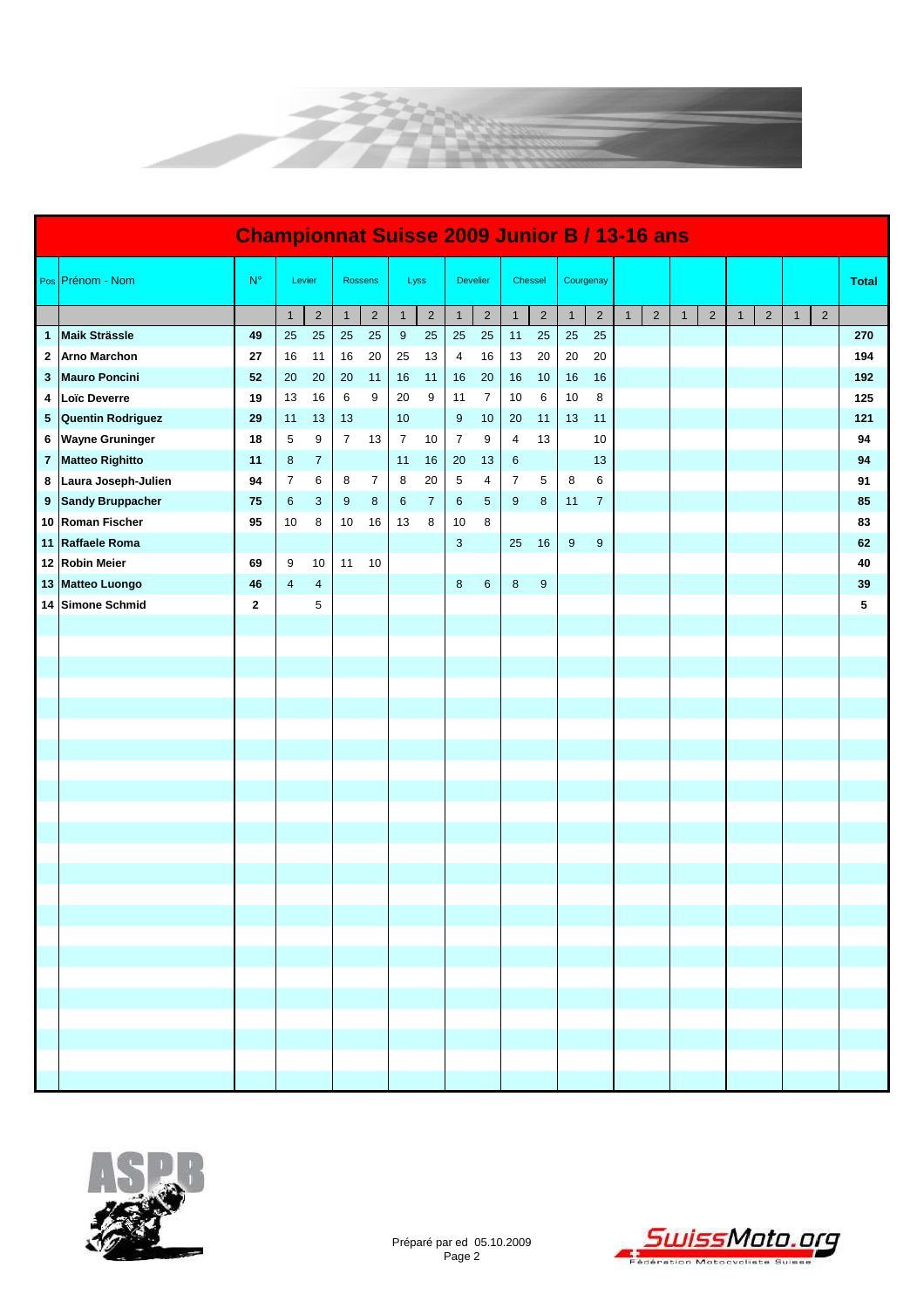

|                 | <b>Championnat Suisse 2009 Junior B / 13-16 ans</b> |              |                |                         |                |                |                |                |                |                 |                |            |                |                |  |                |              |                |              |              |              |                |              |
|-----------------|-----------------------------------------------------|--------------|----------------|-------------------------|----------------|----------------|----------------|----------------|----------------|-----------------|----------------|------------|----------------|----------------|--|----------------|--------------|----------------|--------------|--------------|--------------|----------------|--------------|
|                 | Pos Prénom - Nom                                    | $N^{\circ}$  |                | Levier                  |                | <b>Rossens</b> |                | Lyss           |                | <b>Develier</b> | Chessel        |            | Courgenay      |                |  |                |              |                |              |              |              |                | <b>Total</b> |
|                 |                                                     |              | $\mathbf{1}$   | $\overline{\mathbf{c}}$ | $\mathbf{1}$   | $\overline{a}$ | $\mathbf{1}$   | $\overline{a}$ | $\mathbf{1}$   | $\overline{2}$  | $\mathbf{1}$   | $\sqrt{2}$ | $\overline{1}$ | $\sqrt{2}$     |  | $\overline{2}$ | $\mathbf{1}$ | $\overline{a}$ | $\mathbf{1}$ | $\mathbf{2}$ | $\mathbf{1}$ | $\overline{2}$ |              |
|                 | 1 Maik Strässle                                     | 49           | 25             | 25                      | 25             | 25             | 9              | 25             | 25             | 25              | 11             | 25         | 25             | 25             |  |                |              |                |              |              |              |                | 270          |
| $\mathbf{2}$    | <b>Arno Marchon</b>                                 | 27           | 16             | 11                      | $16\,$         | 20             | 25             | 13             | $\overline{4}$ | 16              | 13             | 20         | 20             | 20             |  |                |              |                |              |              |              |                | 194          |
| 3               | <b>Mauro Poncini</b>                                | 52           | 20             | 20                      | 20             | 11             | 16             | 11             | 16             | 20              | 16             | 10         | 16             | 16             |  |                |              |                |              |              |              |                | 192          |
| 4               | Loïc Deverre                                        | 19           | 13             | 16                      | 6              | 9              | 20             | 9              | 11             | $\overline{7}$  | 10             | 6          | 10             | 8              |  |                |              |                |              |              |              |                | 125          |
| $5\phantom{.0}$ | <b>Quentin Rodriguez</b>                            | 29           | 11             | 13                      | 13             |                | 10             |                | $9\,$          | 10              | 20             | 11         | 13             | 11             |  |                |              |                |              |              |              |                | 121          |
| 6               | <b>Wayne Gruninger</b>                              | 18           | $\sqrt{5}$     | 9                       | $\overline{7}$ | 13             | $\overline{7}$ | 10             | $\overline{7}$ | 9               | 4              | 13         |                | 10             |  |                |              |                |              |              |              |                | 94           |
|                 | 7 Matteo Righitto                                   | 11           | $\bf 8$        | $\overline{7}$          |                |                | 11             | 16             | 20             | 13              | 6              |            |                | 13             |  |                |              |                |              |              |              |                | 94           |
|                 | 8 Laura Joseph-Julien                               | 94           | $\overline{7}$ | 6                       | 8              | $\overline{7}$ | 8              | 20             | $\sqrt{5}$     | 4               | $\overline{7}$ | 5          | 8              | 6              |  |                |              |                |              |              |              |                | 91           |
|                 | 9 Sandy Bruppacher                                  | 75           | 6              | 3                       | 9              | 8              | 6              | $\overline{7}$ | 6              | $\sqrt{5}$      | 9              | 8          | 11             | $\overline{7}$ |  |                |              |                |              |              |              |                | 85           |
|                 | 10 Roman Fischer                                    | 95           | 10             | 8                       | 10             | 16             | 13             | 8              | 10             | 8               |                |            |                |                |  |                |              |                |              |              |              |                | 83           |
|                 | 11 Raffaele Roma                                    |              |                |                         |                |                |                |                | $\mathbf{3}$   |                 | 25             | 16         | 9              | 9              |  |                |              |                |              |              |              |                | 62           |
|                 | 12 Robin Meier                                      | 69           | 9              | 10                      | 11             | 10             |                |                |                |                 |                |            |                |                |  |                |              |                |              |              |              |                | 40           |
|                 | 13 Matteo Luongo                                    | 46           | $\overline{4}$ | $\overline{4}$          |                |                |                |                | $\bf 8$        | 6               | $\bf 8$        | 9          |                |                |  |                |              |                |              |              |              |                | 39           |
|                 | 14 Simone Schmid                                    | $\mathbf{2}$ |                | 5                       |                |                |                |                |                |                 |                |            |                |                |  |                |              |                |              |              |              |                | 5            |
|                 |                                                     |              |                |                         |                |                |                |                |                |                 |                |            |                |                |  |                |              |                |              |              |              |                |              |
|                 |                                                     |              |                |                         |                |                |                |                |                |                 |                |            |                |                |  |                |              |                |              |              |              |                |              |
|                 |                                                     |              |                |                         |                |                |                |                |                |                 |                |            |                |                |  |                |              |                |              |              |              |                |              |
|                 |                                                     |              |                |                         |                |                |                |                |                |                 |                |            |                |                |  |                |              |                |              |              |              |                |              |
|                 |                                                     |              |                |                         |                |                |                |                |                |                 |                |            |                |                |  |                |              |                |              |              |              |                |              |
|                 |                                                     |              |                |                         |                |                |                |                |                |                 |                |            |                |                |  |                |              |                |              |              |              |                |              |
|                 |                                                     |              |                |                         |                |                |                |                |                |                 |                |            |                |                |  |                |              |                |              |              |              |                |              |
|                 |                                                     |              |                |                         |                |                |                |                |                |                 |                |            |                |                |  |                |              |                |              |              |              |                |              |
|                 |                                                     |              |                |                         |                |                |                |                |                |                 |                |            |                |                |  |                |              |                |              |              |              |                |              |
|                 |                                                     |              |                |                         |                |                |                |                |                |                 |                |            |                |                |  |                |              |                |              |              |              |                |              |
|                 |                                                     |              |                |                         |                |                |                |                |                |                 |                |            |                |                |  |                |              |                |              |              |              |                |              |
|                 |                                                     |              |                |                         |                |                |                |                |                |                 |                |            |                |                |  |                |              |                |              |              |              |                |              |
|                 |                                                     |              |                |                         |                |                |                |                |                |                 |                |            |                |                |  |                |              |                |              |              |              |                |              |
|                 |                                                     |              |                |                         |                |                |                |                |                |                 |                |            |                |                |  |                |              |                |              |              |              |                |              |
|                 |                                                     |              |                |                         |                |                |                |                |                |                 |                |            |                |                |  |                |              |                |              |              |              |                |              |
|                 |                                                     |              |                |                         |                |                |                |                |                |                 |                |            |                |                |  |                |              |                |              |              |              |                |              |
|                 |                                                     |              |                |                         |                |                |                |                |                |                 |                |            |                |                |  |                |              |                |              |              |              |                |              |
|                 |                                                     |              |                |                         |                |                |                |                |                |                 |                |            |                |                |  |                |              |                |              |              |              |                |              |
|                 |                                                     |              |                |                         |                |                |                |                |                |                 |                |            |                |                |  |                |              |                |              |              |              |                |              |
|                 |                                                     |              |                |                         |                |                |                |                |                |                 |                |            |                |                |  |                |              |                |              |              |              |                |              |
|                 |                                                     |              |                |                         |                |                |                |                |                |                 |                |            |                |                |  |                |              |                |              |              |              |                |              |
|                 |                                                     |              |                |                         |                |                |                |                |                |                 |                |            |                |                |  |                |              |                |              |              |              |                |              |

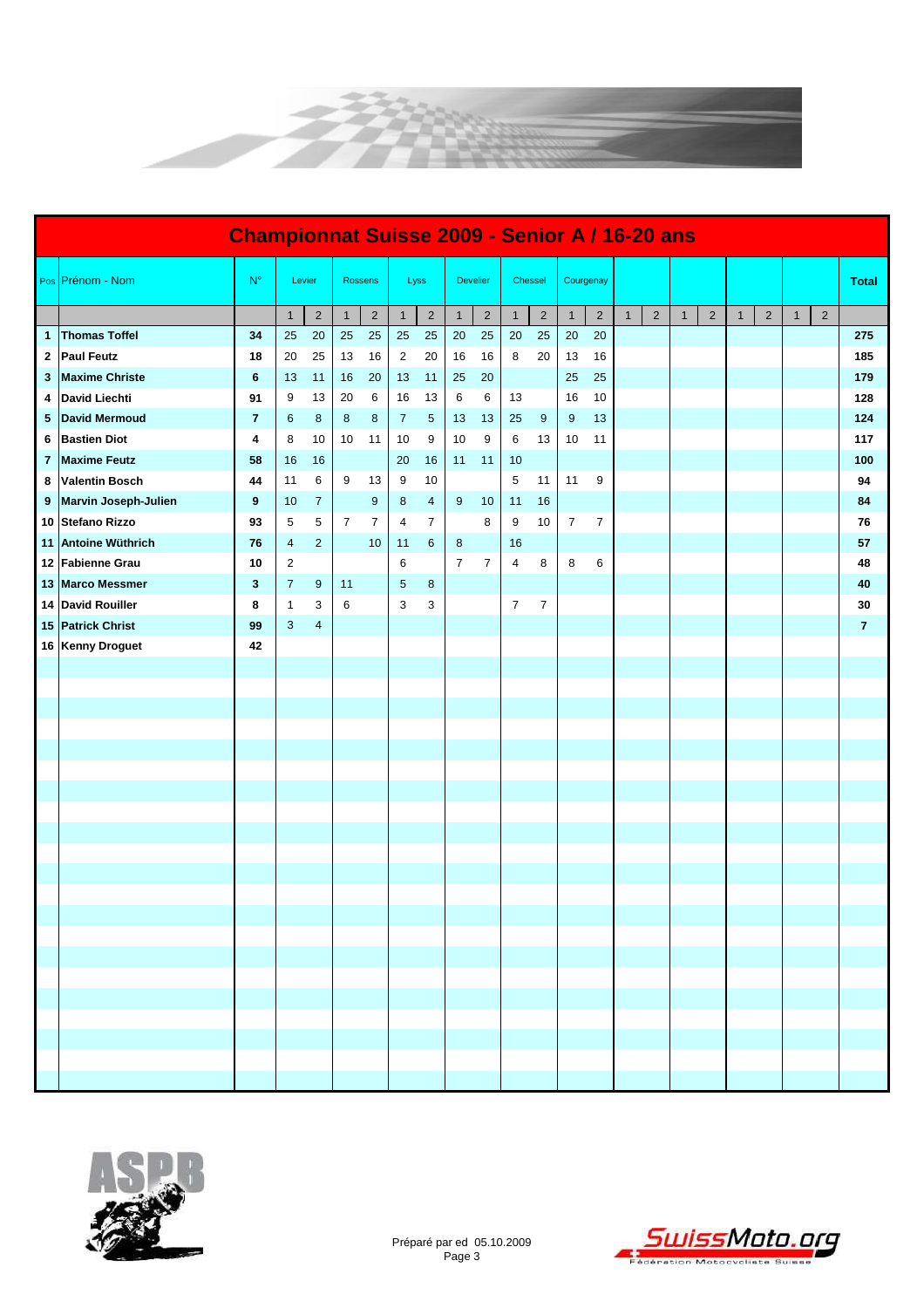

|    | <b>Championnat Suisse 2009 - Senior A / 16-20 ans</b> |                |                |                         |              |                |                |                |                |                 |                |                |                |                |              |                |              |                |              |                |              |                |                |
|----|-------------------------------------------------------|----------------|----------------|-------------------------|--------------|----------------|----------------|----------------|----------------|-----------------|----------------|----------------|----------------|----------------|--------------|----------------|--------------|----------------|--------------|----------------|--------------|----------------|----------------|
|    | Pos Prénom - Nom                                      | $N^{\circ}$    |                | Levier                  |              | <b>Rossens</b> |                | Lyss           |                | <b>Develier</b> |                | Chessel        | Courgenay      |                |              |                |              |                |              |                |              |                | <b>Total</b>   |
|    |                                                       |                | $\mathbf{1}$   | $\overline{\mathbf{c}}$ | $\mathbf{1}$ | $\sqrt{2}$     | $\mathbf{1}$   | $\sqrt{2}$     | $\mathbf{1}$   | $\overline{2}$  | $\mathbf{1}$   | $\sqrt{2}$     | $\mathbf{1}$   | $\sqrt{2}$     | $\mathbf{1}$ | $\overline{2}$ | $\mathbf{1}$ | $\overline{2}$ | $\mathbf{1}$ | $\overline{2}$ | $\mathbf{1}$ | $\overline{2}$ |                |
| 1  | <b>Thomas Toffel</b>                                  | 34             | 25             | 20                      | 25           | 25             | 25             | 25             | 20             | 25              | 20             | 25             | 20             | 20             |              |                |              |                |              |                |              |                | 275            |
| 2  | <b>Paul Feutz</b>                                     | 18             | 20             | 25                      | 13           | 16             | $\overline{2}$ | 20             | 16             | 16              | 8              | 20             | 13             | 16             |              |                |              |                |              |                |              |                | 185            |
| 3  | <b>Maxime Christe</b>                                 | 6              | 13             | 11                      | 16           | 20             | 13             | 11             | 25             | 20              |                |                | 25             | 25             |              |                |              |                |              |                |              |                | 179            |
| 4  | <b>David Liechti</b>                                  | 91             | 9              | 13                      | 20           | 6              | 16             | 13             | 6              | 6               | 13             |                | 16             | 10             |              |                |              |                |              |                |              |                | 128            |
| 5  | <b>David Mermoud</b>                                  | $\overline{7}$ | 6              | $\bf 8$                 | $\bf 8$      | 8              | $\overline{7}$ | $\sqrt{5}$     | 13             | 13              | 25             | 9              | 9              | 13             |              |                |              |                |              |                |              |                | 124            |
| 6  | <b>Bastien Diot</b>                                   | 4              | 8              | 10                      | 10           | 11             | 10             | 9              | 10             | 9               | 6              | 13             | 10             | 11             |              |                |              |                |              |                |              |                | 117            |
| 7  | <b>Maxime Feutz</b>                                   | 58             | 16             | 16                      |              |                | 20             | 16             | 11             | 11              | 10             |                |                |                |              |                |              |                |              |                |              |                | 100            |
| 8  | <b>Valentin Bosch</b>                                 | 44             | 11             | 6                       | 9            | 13             | 9              | 10             |                |                 | 5              | 11             | 11             | 9              |              |                |              |                |              |                |              |                | 94             |
| 9  | Marvin Joseph-Julien                                  | 9              | 10             | $\overline{7}$          |              | 9              | 8              | $\overline{4}$ | 9              | 10              | 11             | 16             |                |                |              |                |              |                |              |                |              |                | 84             |
|    | 10 Stefano Rizzo                                      | 93             | 5              | 5                       | 7            | $\overline{7}$ | 4              | $\overline{7}$ |                | 8               | 9              | 10             | $\overline{7}$ | $\overline{7}$ |              |                |              |                |              |                |              |                | 76             |
|    | 11 Antoine Wüthrich                                   | 76             | $\overline{4}$ | $\overline{2}$          |              | 10             | 11             | 6              | 8              |                 | 16             |                |                |                |              |                |              |                |              |                |              |                | 57             |
|    | 12 Fabienne Grau                                      | 10             | $\overline{c}$ |                         |              |                | 6              |                | $\overline{7}$ | $\overline{7}$  | 4              | 8              | 8              | 6              |              |                |              |                |              |                |              |                | 48             |
|    | 13 Marco Messmer                                      | 3              | $\overline{7}$ | 9                       | 11           |                | $\sqrt{5}$     | 8              |                |                 |                |                |                |                |              |                |              |                |              |                |              |                | 40             |
| 14 | <b>David Rouiller</b>                                 | 8              | $\mathbf{1}$   | 3                       | 6            |                | 3              | 3              |                |                 | $\overline{7}$ | $\overline{7}$ |                |                |              |                |              |                |              |                |              |                | 30             |
|    | 15 Patrick Christ                                     | 99             | 3              | 4                       |              |                |                |                |                |                 |                |                |                |                |              |                |              |                |              |                |              |                | $\overline{7}$ |
|    | 16 Kenny Droguet                                      | 42             |                |                         |              |                |                |                |                |                 |                |                |                |                |              |                |              |                |              |                |              |                |                |
|    |                                                       |                |                |                         |              |                |                |                |                |                 |                |                |                |                |              |                |              |                |              |                |              |                |                |
|    |                                                       |                |                |                         |              |                |                |                |                |                 |                |                |                |                |              |                |              |                |              |                |              |                |                |
|    |                                                       |                |                |                         |              |                |                |                |                |                 |                |                |                |                |              |                |              |                |              |                |              |                |                |
|    |                                                       |                |                |                         |              |                |                |                |                |                 |                |                |                |                |              |                |              |                |              |                |              |                |                |
|    |                                                       |                |                |                         |              |                |                |                |                |                 |                |                |                |                |              |                |              |                |              |                |              |                |                |
|    |                                                       |                |                |                         |              |                |                |                |                |                 |                |                |                |                |              |                |              |                |              |                |              |                |                |
|    |                                                       |                |                |                         |              |                |                |                |                |                 |                |                |                |                |              |                |              |                |              |                |              |                |                |
|    |                                                       |                |                |                         |              |                |                |                |                |                 |                |                |                |                |              |                |              |                |              |                |              |                |                |
|    |                                                       |                |                |                         |              |                |                |                |                |                 |                |                |                |                |              |                |              |                |              |                |              |                |                |
|    |                                                       |                |                |                         |              |                |                |                |                |                 |                |                |                |                |              |                |              |                |              |                |              |                |                |
|    |                                                       |                |                |                         |              |                |                |                |                |                 |                |                |                |                |              |                |              |                |              |                |              |                |                |
|    |                                                       |                |                |                         |              |                |                |                |                |                 |                |                |                |                |              |                |              |                |              |                |              |                |                |
|    |                                                       |                |                |                         |              |                |                |                |                |                 |                |                |                |                |              |                |              |                |              |                |              |                |                |
|    |                                                       |                |                |                         |              |                |                |                |                |                 |                |                |                |                |              |                |              |                |              |                |              |                |                |
|    |                                                       |                |                |                         |              |                |                |                |                |                 |                |                |                |                |              |                |              |                |              |                |              |                |                |
|    |                                                       |                |                |                         |              |                |                |                |                |                 |                |                |                |                |              |                |              |                |              |                |              |                |                |
|    |                                                       |                |                |                         |              |                |                |                |                |                 |                |                |                |                |              |                |              |                |              |                |              |                |                |
|    |                                                       |                |                |                         |              |                |                |                |                |                 |                |                |                |                |              |                |              |                |              |                |              |                |                |
|    |                                                       |                |                |                         |              |                |                |                |                |                 |                |                |                |                |              |                |              |                |              |                |              |                |                |
|    |                                                       |                |                |                         |              |                |                |                |                |                 |                |                |                |                |              |                |              |                |              |                |              |                |                |
|    |                                                       |                |                |                         |              |                |                |                |                |                 |                |                |                |                |              |                |              |                |              |                |              |                |                |



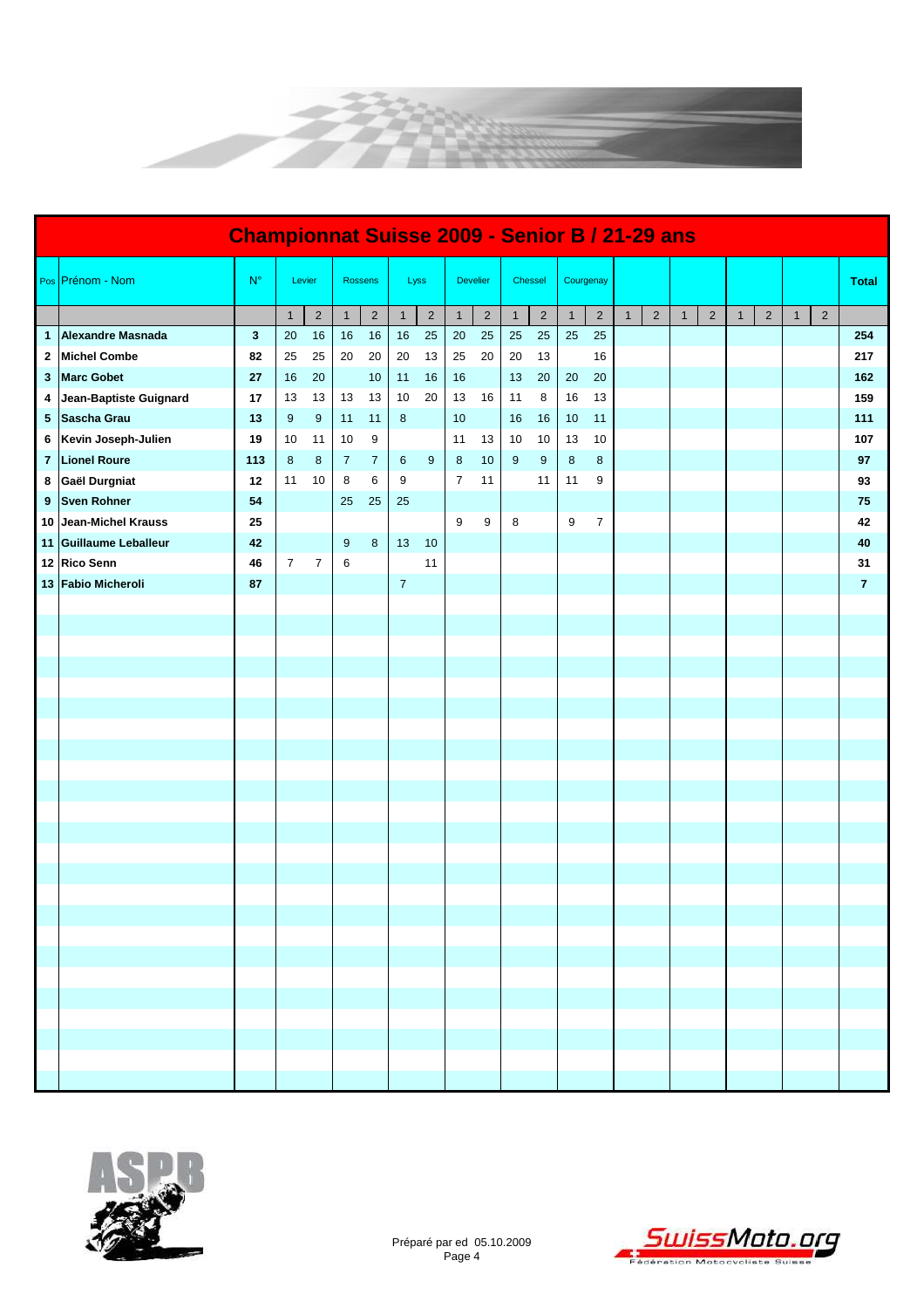

|                | <b>Championnat Suisse 2009 - Senior B / 21-29 ans</b> |              |              |                |                |                |                |                |                |                 |              |                |                |                |              |                |              |                |              |                |              |                |                |
|----------------|-------------------------------------------------------|--------------|--------------|----------------|----------------|----------------|----------------|----------------|----------------|-----------------|--------------|----------------|----------------|----------------|--------------|----------------|--------------|----------------|--------------|----------------|--------------|----------------|----------------|
|                | Pos Prénom - Nom                                      | $N^{\circ}$  |              | Levier         |                | <b>Rossens</b> |                | Lyss           |                | <b>Develier</b> |              | Chessel        | Courgenay      |                |              |                |              |                |              |                |              |                | <b>Total</b>   |
|                |                                                       |              | $\mathbf{1}$ | $\overline{2}$ | $\mathbf{1}$   | $\overline{2}$ | $\mathbf{1}$   | $\sqrt{2}$     | $\mathbf{1}$   | $\overline{c}$  | $\mathbf{1}$ | $\overline{2}$ | $\overline{1}$ | $\overline{2}$ | $\mathbf{1}$ | $\overline{2}$ | $\mathbf{1}$ | $\overline{2}$ | $\mathbf{1}$ | $\overline{2}$ | $\mathbf{1}$ | $\overline{2}$ |                |
| $\mathbf{1}$   | Alexandre Masnada                                     | $\mathbf{3}$ | 20           | 16             | 16             | 16             | 16             | 25             | 20             | 25              | 25           | 25             | 25             | 25             |              |                |              |                |              |                |              |                | 254            |
| $\mathbf{2}$   | <b>Michel Combe</b>                                   | 82           | 25           | 25             | 20             | 20             | 20             | 13             | 25             | 20              | 20           | 13             |                | 16             |              |                |              |                |              |                |              |                | 217            |
| 3              | <b>Marc Gobet</b>                                     | 27           | 16           | 20             |                | 10             | 11             | 16             | 16             |                 | 13           | 20             | 20             | 20             |              |                |              |                |              |                |              |                | 162            |
| 4              | Jean-Baptiste Guignard                                | 17           | 13           | 13             | 13             | 13             | 10             | 20             | 13             | 16              | 11           | 8              | 16             | 13             |              |                |              |                |              |                |              |                | 159            |
| 5 <sub>5</sub> | Sascha Grau                                           | 13           | 9            | $9\,$          | 11             | 11             | $\bf 8$        |                | 10             |                 | 16           | 16             | 10             | 11             |              |                |              |                |              |                |              |                | 111            |
| 6              | Kevin Joseph-Julien                                   | 19           | 10           | 11             | 10             | 9              |                |                | 11             | 13              | 10           | 10             | 13             | 10             |              |                |              |                |              |                |              |                | 107            |
| 7 <sup>7</sup> | <b>Lionel Roure</b>                                   | 113          | 8            | 8              | $\overline{7}$ | $\overline{7}$ | 6              | $\overline{9}$ | 8              | 10              | 9            | 9              | 8              | $\bf 8$        |              |                |              |                |              |                |              |                | 97             |
|                | 8 Gaël Durgniat                                       | 12           | 11           | 10             | 8              | 6              | 9              |                | $\overline{7}$ | 11              |              | 11             | 11             | 9              |              |                |              |                |              |                |              |                | 93             |
| 9              | <b>Sven Rohner</b>                                    | 54           |              |                | 25             | 25             | 25             |                |                |                 |              |                |                |                |              |                |              |                |              |                |              |                | 75             |
| 10             | Jean-Michel Krauss                                    | 25           |              |                |                |                |                |                | 9              | 9               | 8            |                | 9              | $\overline{7}$ |              |                |              |                |              |                |              |                | 42             |
|                | 11 Guillaume Leballeur                                | 42           |              |                | $9\,$          | 8              | 13             | 10             |                |                 |              |                |                |                |              |                |              |                |              |                |              |                | 40             |
|                | 12 Rico Senn                                          | 46           | $7^{\circ}$  | $\overline{7}$ | 6              |                |                | 11             |                |                 |              |                |                |                |              |                |              |                |              |                |              |                | 31             |
|                | 13 Fabio Micheroli                                    | 87           |              |                |                |                | $\overline{7}$ |                |                |                 |              |                |                |                |              |                |              |                |              |                |              |                | $\overline{7}$ |
|                |                                                       |              |              |                |                |                |                |                |                |                 |              |                |                |                |              |                |              |                |              |                |              |                |                |
|                |                                                       |              |              |                |                |                |                |                |                |                 |              |                |                |                |              |                |              |                |              |                |              |                |                |
|                |                                                       |              |              |                |                |                |                |                |                |                 |              |                |                |                |              |                |              |                |              |                |              |                |                |
|                |                                                       |              |              |                |                |                |                |                |                |                 |              |                |                |                |              |                |              |                |              |                |              |                |                |
|                |                                                       |              |              |                |                |                |                |                |                |                 |              |                |                |                |              |                |              |                |              |                |              |                |                |
|                |                                                       |              |              |                |                |                |                |                |                |                 |              |                |                |                |              |                |              |                |              |                |              |                |                |
|                |                                                       |              |              |                |                |                |                |                |                |                 |              |                |                |                |              |                |              |                |              |                |              |                |                |
|                |                                                       |              |              |                |                |                |                |                |                |                 |              |                |                |                |              |                |              |                |              |                |              |                |                |
|                |                                                       |              |              |                |                |                |                |                |                |                 |              |                |                |                |              |                |              |                |              |                |              |                |                |
|                |                                                       |              |              |                |                |                |                |                |                |                 |              |                |                |                |              |                |              |                |              |                |              |                |                |
|                |                                                       |              |              |                |                |                |                |                |                |                 |              |                |                |                |              |                |              |                |              |                |              |                |                |
|                |                                                       |              |              |                |                |                |                |                |                |                 |              |                |                |                |              |                |              |                |              |                |              |                |                |
|                |                                                       |              |              |                |                |                |                |                |                |                 |              |                |                |                |              |                |              |                |              |                |              |                |                |
|                |                                                       |              |              |                |                |                |                |                |                |                 |              |                |                |                |              |                |              |                |              |                |              |                |                |
|                |                                                       |              |              |                |                |                |                |                |                |                 |              |                |                |                |              |                |              |                |              |                |              |                |                |
|                |                                                       |              |              |                |                |                |                |                |                |                 |              |                |                |                |              |                |              |                |              |                |              |                |                |
|                |                                                       |              |              |                |                |                |                |                |                |                 |              |                |                |                |              |                |              |                |              |                |              |                |                |
|                |                                                       |              |              |                |                |                |                |                |                |                 |              |                |                |                |              |                |              |                |              |                |              |                |                |
|                |                                                       |              |              |                |                |                |                |                |                |                 |              |                |                |                |              |                |              |                |              |                |              |                |                |
|                |                                                       |              |              |                |                |                |                |                |                |                 |              |                |                |                |              |                |              |                |              |                |              |                |                |
|                |                                                       |              |              |                |                |                |                |                |                |                 |              |                |                |                |              |                |              |                |              |                |              |                |                |
|                |                                                       |              |              |                |                |                |                |                |                |                 |              |                |                |                |              |                |              |                |              |                |              |                |                |
|                |                                                       |              |              |                |                |                |                |                |                |                 |              |                |                |                |              |                |              |                |              |                |              |                |                |